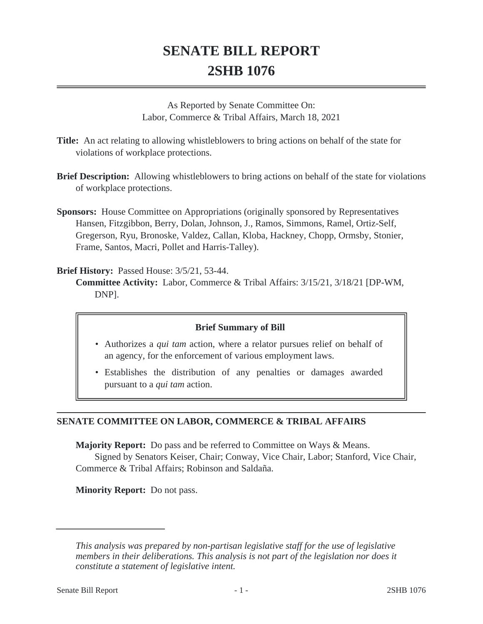## **SENATE BILL REPORT 2SHB 1076**

As Reported by Senate Committee On: Labor, Commerce & Tribal Affairs, March 18, 2021

- **Title:** An act relating to allowing whistleblowers to bring actions on behalf of the state for violations of workplace protections.
- **Brief Description:** Allowing whistleblowers to bring actions on behalf of the state for violations of workplace protections.
- **Sponsors:** House Committee on Appropriations (originally sponsored by Representatives Hansen, Fitzgibbon, Berry, Dolan, Johnson, J., Ramos, Simmons, Ramel, Ortiz-Self, Gregerson, Ryu, Bronoske, Valdez, Callan, Kloba, Hackney, Chopp, Ormsby, Stonier, Frame, Santos, Macri, Pollet and Harris-Talley).

## **Brief History:** Passed House: 3/5/21, 53-44.

**Committee Activity:** Labor, Commerce & Tribal Affairs: 3/15/21, 3/18/21 [DP-WM, DNP].

## **Brief Summary of Bill**

- Authorizes a *qui tam* action, where a relator pursues relief on behalf of an agency, for the enforcement of various employment laws.
- Establishes the distribution of any penalties or damages awarded pursuant to a *qui tam* action.

## **SENATE COMMITTEE ON LABOR, COMMERCE & TRIBAL AFFAIRS**

**Majority Report:** Do pass and be referred to Committee on Ways & Means.

Signed by Senators Keiser, Chair; Conway, Vice Chair, Labor; Stanford, Vice Chair, Commerce & Tribal Affairs; Robinson and Saldaña.

**Minority Report:** Do not pass.

*This analysis was prepared by non-partisan legislative staff for the use of legislative members in their deliberations. This analysis is not part of the legislation nor does it constitute a statement of legislative intent.*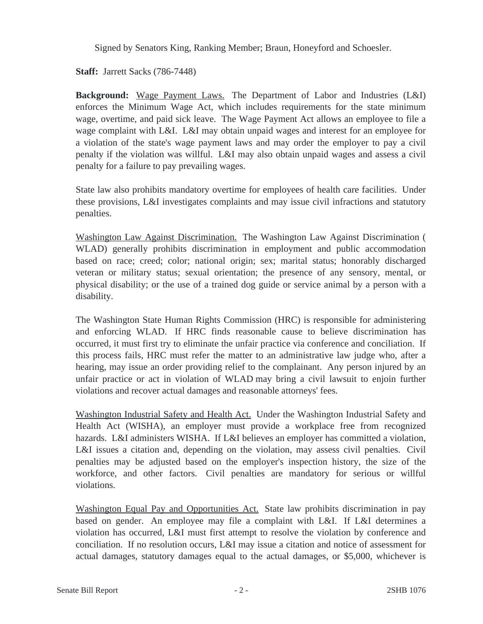Signed by Senators King, Ranking Member; Braun, Honeyford and Schoesler.

**Staff:** Jarrett Sacks (786-7448)

**Background:** Wage Payment Laws. The Department of Labor and Industries (L&I) enforces the Minimum Wage Act, which includes requirements for the state minimum wage, overtime, and paid sick leave. The Wage Payment Act allows an employee to file a wage complaint with L&I. L&I may obtain unpaid wages and interest for an employee for a violation of the state's wage payment laws and may order the employer to pay a civil penalty if the violation was willful. L&I may also obtain unpaid wages and assess a civil penalty for a failure to pay prevailing wages.

State law also prohibits mandatory overtime for employees of health care facilities. Under these provisions, L&I investigates complaints and may issue civil infractions and statutory penalties.

Washington Law Against Discrimination. The Washington Law Against Discrimination ( WLAD) generally prohibits discrimination in employment and public accommodation based on race; creed; color; national origin; sex; marital status; honorably discharged veteran or military status; sexual orientation; the presence of any sensory, mental, or physical disability; or the use of a trained dog guide or service animal by a person with a disability.

The Washington State Human Rights Commission (HRC) is responsible for administering and enforcing WLAD. If HRC finds reasonable cause to believe discrimination has occurred, it must first try to eliminate the unfair practice via conference and conciliation. If this process fails, HRC must refer the matter to an administrative law judge who, after a hearing, may issue an order providing relief to the complainant. Any person injured by an unfair practice or act in violation of WLAD may bring a civil lawsuit to enjoin further violations and recover actual damages and reasonable attorneys' fees.

Washington Industrial Safety and Health Act. Under the Washington Industrial Safety and Health Act (WISHA), an employer must provide a workplace free from recognized hazards. L&I administers WISHA. If L&I believes an employer has committed a violation, L&I issues a citation and, depending on the violation, may assess civil penalties. Civil penalties may be adjusted based on the employer's inspection history, the size of the workforce, and other factors. Civil penalties are mandatory for serious or willful violations.

Washington Equal Pay and Opportunities Act. State law prohibits discrimination in pay based on gender. An employee may file a complaint with L&I. If L&I determines a violation has occurred, L&I must first attempt to resolve the violation by conference and conciliation. If no resolution occurs, L&I may issue a citation and notice of assessment for actual damages, statutory damages equal to the actual damages, or \$5,000, whichever is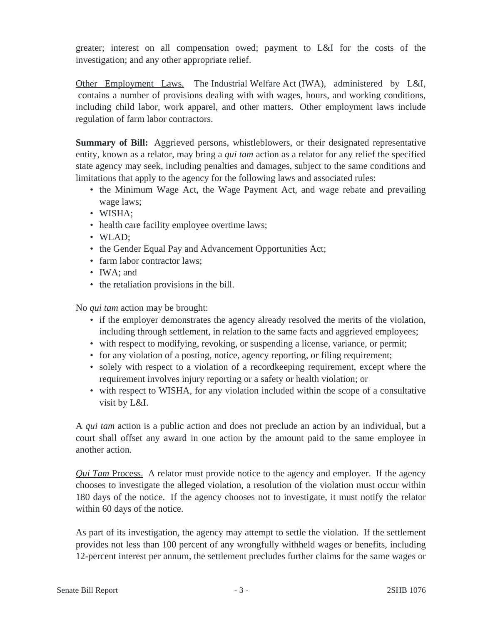greater; interest on all compensation owed; payment to L&I for the costs of the investigation; and any other appropriate relief.

Other Employment Laws. The Industrial Welfare Act (IWA), administered by L&I, contains a number of provisions dealing with with wages, hours, and working conditions, including child labor, work apparel, and other matters. Other employment laws include regulation of farm labor contractors.

**Summary of Bill:** Aggrieved persons, whistleblowers, or their designated representative entity, known as a relator, may bring a *qui tam* action as a relator for any relief the specified state agency may seek, including penalties and damages, subject to the same conditions and limitations that apply to the agency for the following laws and associated rules:

- the Minimum Wage Act, the Wage Payment Act, and wage rebate and prevailing wage laws;
- WISHA;
- health care facility employee overtime laws;
- WLAD;
- the Gender Equal Pay and Advancement Opportunities Act;
- farm labor contractor laws;
- IWA: and
- the retaliation provisions in the bill.

No *qui tam* action may be brought:

- if the employer demonstrates the agency already resolved the merits of the violation, including through settlement, in relation to the same facts and aggrieved employees;
- with respect to modifying, revoking, or suspending a license, variance, or permit;
- for any violation of a posting, notice, agency reporting, or filing requirement;
- solely with respect to a violation of a recordkeeping requirement, except where the requirement involves injury reporting or a safety or health violation; or
- with respect to WISHA, for any violation included within the scope of a consultative visit by L&I.

A *qui tam* action is a public action and does not preclude an action by an individual, but a court shall offset any award in one action by the amount paid to the same employee in another action.

*Qui Tam* Process. A relator must provide notice to the agency and employer. If the agency chooses to investigate the alleged violation, a resolution of the violation must occur within 180 days of the notice. If the agency chooses not to investigate, it must notify the relator within 60 days of the notice.

As part of its investigation, the agency may attempt to settle the violation. If the settlement provides not less than 100 percent of any wrongfully withheld wages or benefits, including 12-percent interest per annum, the settlement precludes further claims for the same wages or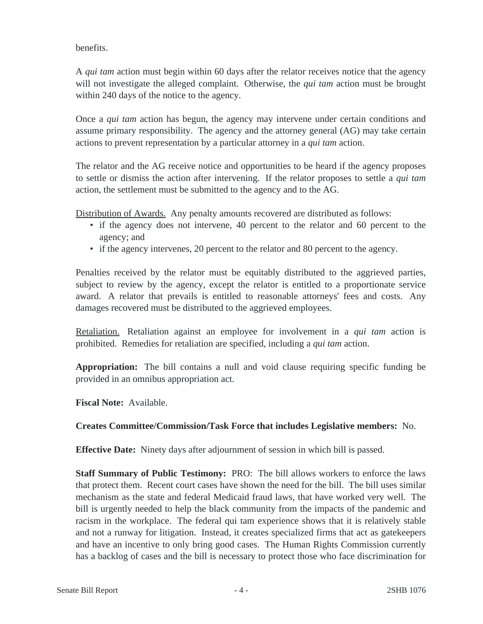benefits.

A *qui tam* action must begin within 60 days after the relator receives notice that the agency will not investigate the alleged complaint. Otherwise, the *qui tam* action must be brought within 240 days of the notice to the agency.

Once a *qui tam* action has begun, the agency may intervene under certain conditions and assume primary responsibility. The agency and the attorney general (AG) may take certain actions to prevent representation by a particular attorney in a *qui tam* action.

The relator and the AG receive notice and opportunities to be heard if the agency proposes to settle or dismiss the action after intervening. If the relator proposes to settle a *qui tam* action, the settlement must be submitted to the agency and to the AG.

Distribution of Awards. Any penalty amounts recovered are distributed as follows:

- if the agency does not intervene, 40 percent to the relator and 60 percent to the agency; and
- if the agency intervenes, 20 percent to the relator and 80 percent to the agency.

Penalties received by the relator must be equitably distributed to the aggrieved parties, subject to review by the agency, except the relator is entitled to a proportionate service award. A relator that prevails is entitled to reasonable attorneys' fees and costs. Any damages recovered must be distributed to the aggrieved employees.

Retaliation. Retaliation against an employee for involvement in a *qui tam* action is prohibited. Remedies for retaliation are specified, including a *qui tam* action.

**Appropriation:** The bill contains a null and void clause requiring specific funding be provided in an omnibus appropriation act.

**Fiscal Note:** Available.

**Creates Committee/Commission/Task Force that includes Legislative members:** No.

**Effective Date:** Ninety days after adjournment of session in which bill is passed.

**Staff Summary of Public Testimony:** PRO: The bill allows workers to enforce the laws that protect them. Recent court cases have shown the need for the bill. The bill uses similar mechanism as the state and federal Medicaid fraud laws, that have worked very well. The bill is urgently needed to help the black community from the impacts of the pandemic and racism in the workplace. The federal qui tam experience shows that it is relatively stable and not a runway for litigation. Instead, it creates specialized firms that act as gatekeepers and have an incentive to only bring good cases. The Human Rights Commission currently has a backlog of cases and the bill is necessary to protect those who face discrimination for